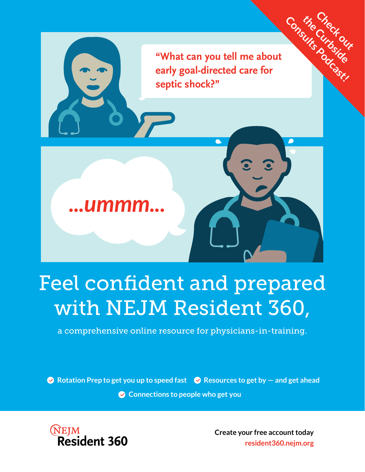

## Feel confident and prepared with NEJM Resident 360,

a comprehensive online resource for physicians-in-training.

 $\bullet$  Rotation Prep to get you up to speed fast  $\bullet$  Resources to get by  $-$  and get ahead

**Connections to people who get you**



 **Create your free account today resident360.nejm.org**